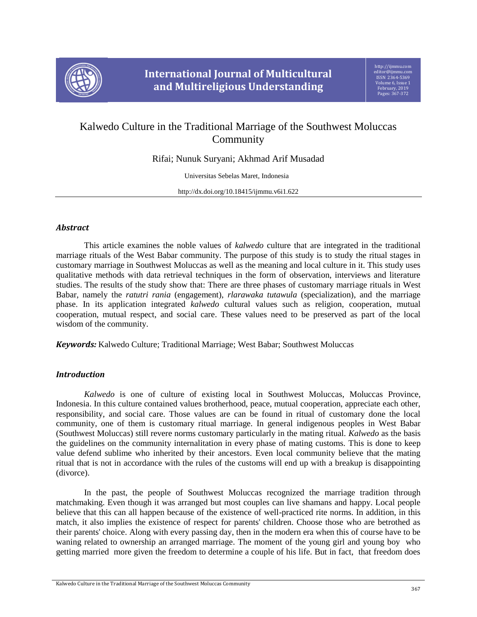

# Kalwedo Culture in the Traditional Marriage of the Southwest Moluccas **Community**

Rifai; Nunuk Suryani; Akhmad Arif Musadad

Universitas Sebelas Maret, Indonesia

http://dx.doi.org/10.18415/ijmmu.v6i1.622

## *Abstract*

This article examines the noble values of *kalwedo* culture that are integrated in the traditional marriage rituals of the West Babar community. The purpose of this study is to study the ritual stages in customary marriage in Southwest Moluccas as well as the meaning and local culture in it. This study uses qualitative methods with data retrieval techniques in the form of observation, interviews and literature studies. The results of the study show that: There are three phases of customary marriage rituals in West Babar, namely the *ratutri rania* (engagement), *rlarawaka tutawula* (specialization), and the marriage phase. In its application integrated *kalwedo* cultural values such as religion, cooperation, mutual cooperation, mutual respect, and social care. These values need to be preserved as part of the local wisdom of the community.

*Keywords:* Kalwedo Culture; Traditional Marriage; West Babar; Southwest Moluccas

## *Introduction*

*Kalwedo* is one of culture of existing local in Southwest Moluccas, Moluccas Province, Indonesia. In this culture contained values brotherhood, peace, mutual cooperation, appreciate each other, responsibility, and social care. Those values are can be found in ritual of customary done the local community, one of them is customary ritual marriage. In general indigenous peoples in West Babar (Southwest Moluccas) still revere norms customary particularly in the mating ritual. *Kalwedo* as the basis the guidelines on the community internalitation in every phase of mating customs. This is done to keep value defend sublime who inherited by their ancestors. Even local community believe that the mating ritual that is not in accordance with the rules of the customs will end up with a breakup is disappointing (divorce).

In the past, the people of Southwest Moluccas recognized the marriage tradition through matchmaking. Even though it was arranged but most couples can live shamans and happy. Local people believe that this can all happen because of the existence of well-practiced rite norms. In addition, in this match, it also implies the existence of respect for parents' children. Choose those who are betrothed as their parents' choice. Along with every passing day, then in the modern era when this of course have to be waning related to ownership an arranged marriage. The moment of the young girl and young boy who getting married more given the freedom to determine a couple of his life. But in fact, that freedom does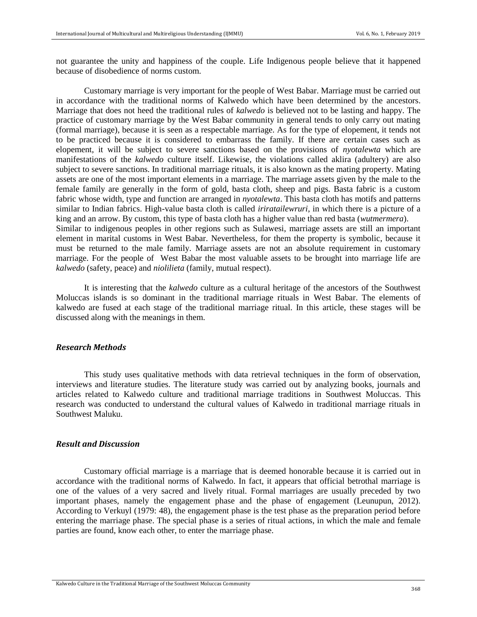not guarantee the unity and happiness of the couple. Life Indigenous people believe that it happened because of disobedience of norms custom.

Customary marriage is very important for the people of West Babar. Marriage must be carried out in accordance with the traditional norms of Kalwedo which have been determined by the ancestors. Marriage that does not heed the traditional rules of *kalwedo* is believed not to be lasting and happy. The practice of customary marriage by the West Babar community in general tends to only carry out mating (formal marriage), because it is seen as a respectable marriage. As for the type of elopement, it tends not to be practiced because it is considered to embarrass the family. If there are certain cases such as elopement, it will be subject to severe sanctions based on the provisions of *nyotalewta* which are manifestations of the *kalwedo* culture itself. Likewise, the violations called aklira (adultery) are also subject to severe sanctions. In traditional marriage rituals, it is also known as the mating property. Mating assets are one of the most important elements in a marriage. The marriage assets given by the male to the female family are generally in the form of gold, basta cloth, sheep and pigs. Basta fabric is a custom fabric whose width, type and function are arranged in *nyotalewta*. This basta cloth has motifs and patterns similar to Indian fabrics. High-value basta cloth is called *iriratailewruri*, in which there is a picture of a king and an arrow. By custom, this type of basta cloth has a higher value than red basta (*wutmermera*). Similar to indigenous peoples in other regions such as Sulawesi, marriage assets are still an important element in marital customs in West Babar. Nevertheless, for them the property is symbolic, because it must be returned to the male family. Marriage assets are not an absolute requirement in customary marriage. For the people of West Babar the most valuable assets to be brought into marriage life are *kalwedo* (safety, peace) and *niolilieta* (family, mutual respect).

It is interesting that the *kalwedo* culture as a cultural heritage of the ancestors of the Southwest Moluccas islands is so dominant in the traditional marriage rituals in West Babar. The elements of kalwedo are fused at each stage of the traditional marriage ritual. In this article, these stages will be discussed along with the meanings in them.

### *Research Methods*

This study uses qualitative methods with data retrieval techniques in the form of observation, interviews and literature studies. The literature study was carried out by analyzing books, journals and articles related to Kalwedo culture and traditional marriage traditions in Southwest Moluccas. This research was conducted to understand the cultural values of Kalwedo in traditional marriage rituals in Southwest Maluku.

### *Result and Discussion*

Customary official marriage is a marriage that is deemed honorable because it is carried out in accordance with the traditional norms of Kalwedo. In fact, it appears that official betrothal marriage is one of the values of a very sacred and lively ritual. Formal marriages are usually preceded by two important phases, namely the engagement phase and the phase of engagement (Leunupun, 2012). According to Verkuyl (1979: 48), the engagement phase is the test phase as the preparation period before entering the marriage phase. The special phase is a series of ritual actions, in which the male and female parties are found, know each other, to enter the marriage phase.

Kalwedo Culture in the Traditional Marriage of the Southwest Moluccas Community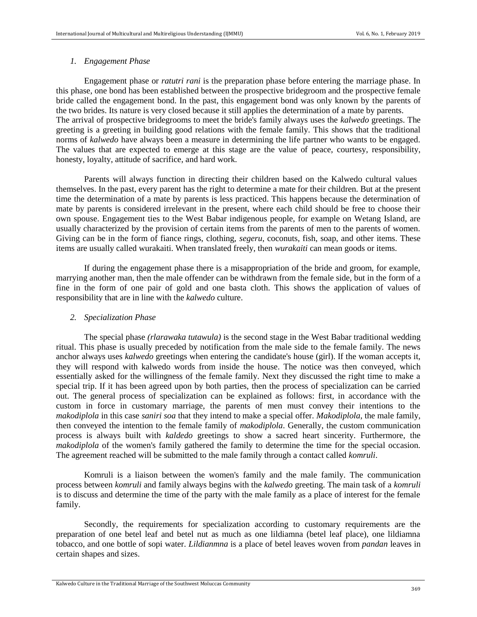#### *1. Engagement Phase*

Engagement phase or *ratutri rani* is the preparation phase before entering the marriage phase. In this phase, one bond has been established between the prospective bridegroom and the prospective female bride called the engagement bond. In the past, this engagement bond was only known by the parents of the two brides. Its nature is very closed because it still applies the determination of a mate by parents. The arrival of prospective bridegrooms to meet the bride's family always uses the *kalwedo* greetings. The greeting is a greeting in building good relations with the female family. This shows that the traditional norms of *kalwedo* have always been a measure in determining the life partner who wants to be engaged. The values that are expected to emerge at this stage are the value of peace, courtesy, responsibility, honesty, loyalty, attitude of sacrifice, and hard work.

Parents will always function in directing their children based on the Kalwedo cultural values themselves. In the past, every parent has the right to determine a mate for their children. But at the present time the determination of a mate by parents is less practiced. This happens because the determination of mate by parents is considered irrelevant in the present, where each child should be free to choose their own spouse. Engagement ties to the West Babar indigenous people, for example on Wetang Island, are usually characterized by the provision of certain items from the parents of men to the parents of women. Giving can be in the form of fiance rings, clothing, *segeru*, coconuts, fish, soap, and other items. These items are usually called wurakaiti. When translated freely, then *wurakaiti* can mean goods or items.

If during the engagement phase there is a misappropriation of the bride and groom, for example, marrying another man, then the male offender can be withdrawn from the female side, but in the form of a fine in the form of one pair of gold and one basta cloth. This shows the application of values of responsibility that are in line with the *kalwedo* culture.

### *2. Specialization Phase*

The special phase *(rlarawaka tutawula)* is the second stage in the West Babar traditional wedding ritual. This phase is usually preceded by notification from the male side to the female family. The news anchor always uses *kalwedo* greetings when entering the candidate's house (girl). If the woman accepts it, they will respond with kalwedo words from inside the house. The notice was then conveyed, which essentially asked for the willingness of the female family. Next they discussed the right time to make a special trip. If it has been agreed upon by both parties, then the process of specialization can be carried out. The general process of specialization can be explained as follows: first, in accordance with the custom in force in customary marriage, the parents of men must convey their intentions to the *makodiplola* in this case *saniri soa* that they intend to make a special offer. *Makodiplola*, the male family, then conveyed the intention to the female family of *makodiplola*. Generally, the custom communication process is always built with *kaldedo* greetings to show a sacred heart sincerity. Furthermore, the *makodiplola* of the women's family gathered the family to determine the time for the special occasion. The agreement reached will be submitted to the male family through a contact called *komruli*.

Komruli is a liaison between the women's family and the male family. The communication process between *komruli* and family always begins with the *kalwedo* greeting. The main task of a *komruli* is to discuss and determine the time of the party with the male family as a place of interest for the female family.

Secondly, the requirements for specialization according to customary requirements are the preparation of one betel leaf and betel nut as much as one lildiamna (betel leaf place), one lildiamna tobacco, and one bottle of sopi water. *Lildianmna* is a place of betel leaves woven from *pandan* leaves in certain shapes and sizes.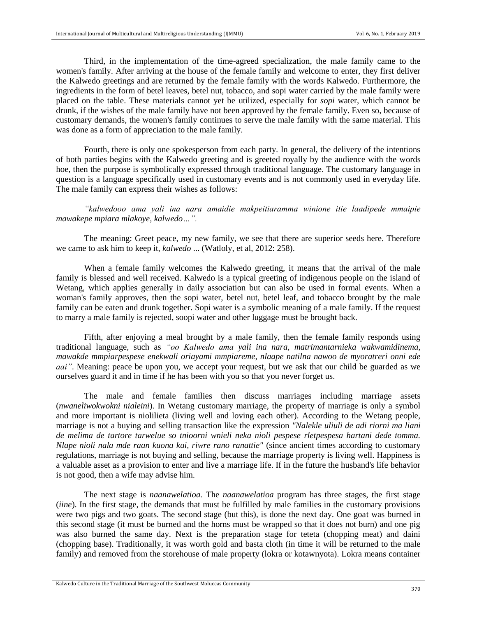Third, in the implementation of the time-agreed specialization, the male family came to the women's family. After arriving at the house of the female family and welcome to enter, they first deliver the Kalwedo greetings and are returned by the female family with the words Kalwedo. Furthermore, the ingredients in the form of betel leaves, betel nut, tobacco, and sopi water carried by the male family were placed on the table. These materials cannot yet be utilized, especially for *sopi* water, which cannot be drunk, if the wishes of the male family have not been approved by the female family. Even so, because of customary demands, the women's family continues to serve the male family with the same material. This was done as a form of appreciation to the male family.

Fourth, there is only one spokesperson from each party. In general, the delivery of the intentions of both parties begins with the Kalwedo greeting and is greeted royally by the audience with the words hoe, then the purpose is symbolically expressed through traditional language. The customary language in question is a language specifically used in customary events and is not commonly used in everyday life. The male family can express their wishes as follows:

*"kalwedooo ama yali ina nara amaidie makpeitiaramma winione itie laadipede mmaipie mawakepe mpiara mlakoye, kalwedo…".*

The meaning: Greet peace, my new family, we see that there are superior seeds here. Therefore we came to ask him to keep it, *kalwedo* ... (Watloly, et al, 2012: 258).

When a female family welcomes the Kalwedo greeting, it means that the arrival of the male family is blessed and well received. Kalwedo is a typical greeting of indigenous people on the island of Wetang, which applies generally in daily association but can also be used in formal events. When a woman's family approves, then the sopi water, betel nut, betel leaf, and tobacco brought by the male family can be eaten and drunk together. Sopi water is a symbolic meaning of a male family. If the request to marry a male family is rejected, soopi water and other luggage must be brought back.

Fifth, after enjoying a meal brought by a male family, then the female family responds using traditional language, such as *"oo Kalwedo ama yali ina nara, matrimantarnieka wakwamidinema, mawakde mmpiarpespese enekwali oriayami mmpiareme, nlaape natilna nawoo de myoratreri onni ede aai"*. Meaning: peace be upon you, we accept your request, but we ask that our child be guarded as we ourselves guard it and in time if he has been with you so that you never forget us.

The male and female families then discuss marriages including marriage assets (*nwaneliwokwokni nialeini*). In Wetang customary marriage, the property of marriage is only a symbol and more important is niolilieta (living well and loving each other). According to the Wetang people, marriage is not a buying and selling transaction like the expression *"Nalekle uliuli de adi riorni ma liani de melima de tartore tarwelue so tnioorni wnieli neka nioli pespese rletpespesa hartani dede tomma. Nlape nioli nala mde raan kuona kai, riwre rano ranattie"* (since ancient times according to customary regulations, marriage is not buying and selling, because the marriage property is living well. Happiness is a valuable asset as a provision to enter and live a marriage life. If in the future the husband's life behavior is not good, then a wife may advise him.

The next stage is *naanawelatioa.* The *naanawelatioa* program has three stages, the first stage (*iine*). In the first stage, the demands that must be fulfilled by male families in the customary provisions were two pigs and two goats. The second stage (but this), is done the next day. One goat was burned in this second stage (it must be burned and the horns must be wrapped so that it does not burn) and one pig was also burned the same day. Next is the preparation stage for teteta (chopping meat) and daini (chopping base). Traditionally, it was worth gold and basta cloth (in time it will be returned to the male family) and removed from the storehouse of male property (lokra or kotawnyota). Lokra means container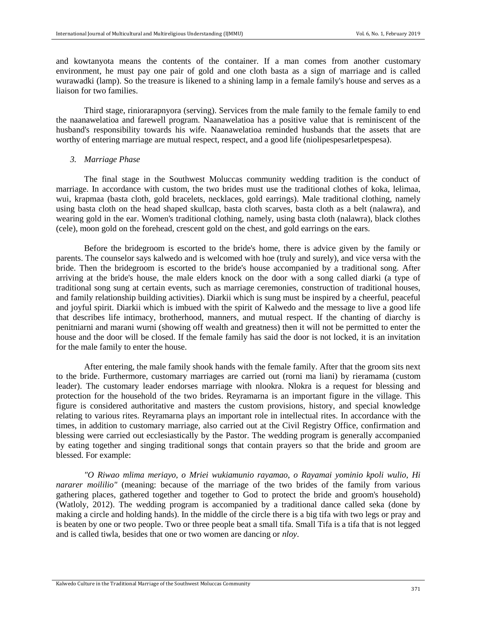and kowtanyota means the contents of the container. If a man comes from another customary environment, he must pay one pair of gold and one cloth basta as a sign of marriage and is called wurawadki (lamp). So the treasure is likened to a shining lamp in a female family's house and serves as a liaison for two families.

Third stage, riniorarapnyora (serving). Services from the male family to the female family to end the naanawelatioa and farewell program. Naanawelatioa has a positive value that is reminiscent of the husband's responsibility towards his wife. Naanawelatioa reminded husbands that the assets that are worthy of entering marriage are mutual respect, respect, and a good life (niolipespesarletpespesa).

#### *3. Marriage Phase*

The final stage in the Southwest Moluccas community wedding tradition is the conduct of marriage. In accordance with custom, the two brides must use the traditional clothes of koka, lelimaa, wui, krapmaa (basta cloth, gold bracelets, necklaces, gold earrings). Male traditional clothing, namely using basta cloth on the head shaped skullcap, basta cloth scarves, basta cloth as a belt (nalawra), and wearing gold in the ear. Women's traditional clothing, namely, using basta cloth (nalawra), black clothes (cele), moon gold on the forehead, crescent gold on the chest, and gold earrings on the ears.

Before the bridegroom is escorted to the bride's home, there is advice given by the family or parents. The counselor says kalwedo and is welcomed with hoe (truly and surely), and vice versa with the bride. Then the bridegroom is escorted to the bride's house accompanied by a traditional song. After arriving at the bride's house, the male elders knock on the door with a song called diarki (a type of traditional song sung at certain events, such as marriage ceremonies, construction of traditional houses, and family relationship building activities). Diarkii which is sung must be inspired by a cheerful, peaceful and joyful spirit. Diarkii which is imbued with the spirit of Kalwedo and the message to live a good life that describes life intimacy, brotherhood, manners, and mutual respect. If the chanting of diarchy is penitniarni and marani wurni (showing off wealth and greatness) then it will not be permitted to enter the house and the door will be closed. If the female family has said the door is not locked, it is an invitation for the male family to enter the house.

After entering, the male family shook hands with the female family. After that the groom sits next to the bride. Furthermore, customary marriages are carried out (rorni ma liani) by rieramama (custom leader). The customary leader endorses marriage with nlookra. Nlokra is a request for blessing and protection for the household of the two brides. Reyramarna is an important figure in the village. This figure is considered authoritative and masters the custom provisions, history, and special knowledge relating to various rites. Reyramarna plays an important role in intellectual rites. In accordance with the times, in addition to customary marriage, also carried out at the Civil Registry Office, confirmation and blessing were carried out ecclesiastically by the Pastor. The wedding program is generally accompanied by eating together and singing traditional songs that contain prayers so that the bride and groom are blessed. For example:

*"O Riwao mlima meriayo, o Mriei wukiamunio rayamao, o Rayamai yominio kpoli wulio, Hi nararer moililio"* (meaning: because of the marriage of the two brides of the family from various gathering places, gathered together and together to God to protect the bride and groom's household) (Watloly, 2012). The wedding program is accompanied by a traditional dance called seka (done by making a circle and holding hands). In the middle of the circle there is a big tifa with two legs or pray and is beaten by one or two people. Two or three people beat a small tifa. Small Tifa is a tifa that is not legged and is called tiwla, besides that one or two women are dancing or *nloy*.